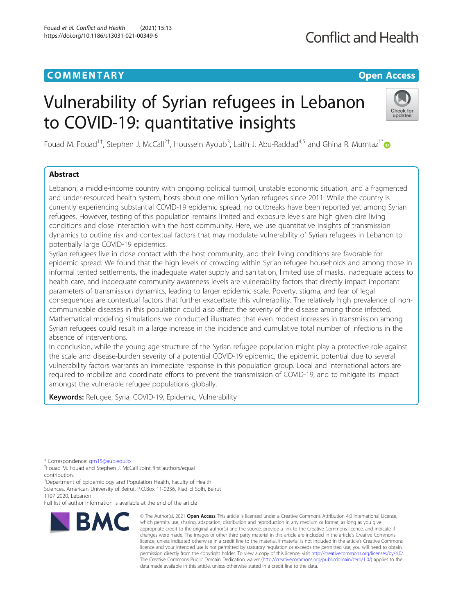## **COMMENTARY COMMENTARY Open Access**

# **Conflict and Health**

# Vulnerability of Syrian refugees in Lebanon to COVID-19: quantitative insights



Fouad M. Fouad<sup>1†</sup>, Stephen J. McCall<sup>2†</sup>, Houssein Ayoub<sup>3</sup>, Laith J. Abu-Raddad<sup>4,5</sup> and Ghina R. Mumtaz<sup>1\*</sup>

### Abstract

Lebanon, a middle-income country with ongoing political turmoil, unstable economic situation, and a fragmented and under-resourced health system, hosts about one million Syrian refugees since 2011. While the country is currently experiencing substantial COVID-19 epidemic spread, no outbreaks have been reported yet among Syrian refugees. However, testing of this population remains limited and exposure levels are high given dire living conditions and close interaction with the host community. Here, we use quantitative insights of transmission dynamics to outline risk and contextual factors that may modulate vulnerability of Syrian refugees in Lebanon to potentially large COVID-19 epidemics.

Syrian refugees live in close contact with the host community, and their living conditions are favorable for epidemic spread. We found that the high levels of crowding within Syrian refugee households and among those in informal tented settlements, the inadequate water supply and sanitation, limited use of masks, inadequate access to health care, and inadequate community awareness levels are vulnerability factors that directly impact important parameters of transmission dynamics, leading to larger epidemic scale. Poverty, stigma, and fear of legal consequences are contextual factors that further exacerbate this vulnerability. The relatively high prevalence of noncommunicable diseases in this population could also affect the severity of the disease among those infected. Mathematical modeling simulations we conducted illustrated that even modest increases in transmission among Syrian refugees could result in a large increase in the incidence and cumulative total number of infections in the absence of interventions.

In conclusion, while the young age structure of the Syrian refugee population might play a protective role against the scale and disease-burden severity of a potential COVID-19 epidemic, the epidemic potential due to several vulnerability factors warrants an immediate response in this population group. Local and international actors are required to mobilize and coordinate efforts to prevent the transmission of COVID-19, and to mitigate its impact amongst the vulnerable refugee populations globally.

Keywords: Refugee, Syria, COVID-19, Epidemic, Vulnerability

\* Correspondence: [gm15@aub.edu.lb](mailto:gm15@aub.edu.lb) †

Fouad M. Fouad and Stephen J. McCall Joint first authors/equal contribution.

<sup>1</sup>Department of Epidemiology and Population Health, Faculty of Health Sciences, American University of Beirut, P.O.Box 11-0236, Riad El Solh, Beirut 1107 2020, Lebanon

Full list of author information is available at the end of the article



<sup>©</sup> The Author(s), 2021 **Open Access** This article is licensed under a Creative Commons Attribution 4.0 International License, which permits use, sharing, adaptation, distribution and reproduction in any medium or format, as long as you give appropriate credit to the original author(s) and the source, provide a link to the Creative Commons licence, and indicate if changes were made. The images or other third party material in this article are included in the article's Creative Commons licence, unless indicated otherwise in a credit line to the material. If material is not included in the article's Creative Commons licence and your intended use is not permitted by statutory regulation or exceeds the permitted use, you will need to obtain permission directly from the copyright holder. To view a copy of this licence, visit [http://creativecommons.org/licenses/by/4.0/.](http://creativecommons.org/licenses/by/4.0/) The Creative Commons Public Domain Dedication waiver [\(http://creativecommons.org/publicdomain/zero/1.0/](http://creativecommons.org/publicdomain/zero/1.0/)) applies to the data made available in this article, unless otherwise stated in a credit line to the data.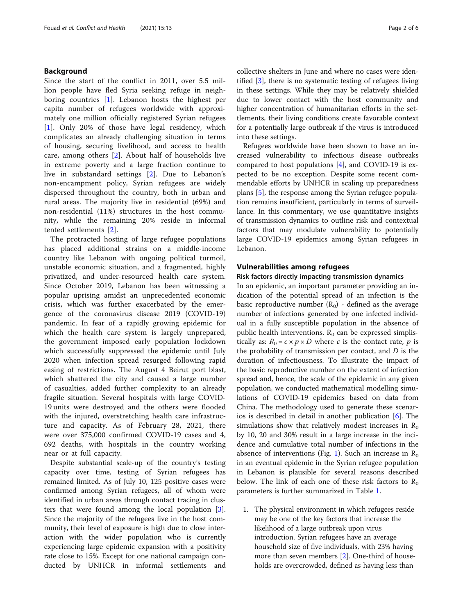#### Background

Since the start of the conflict in 2011, over 5.5 million people have fled Syria seeking refuge in neighboring countries [\[1](#page-4-0)]. Lebanon hosts the highest per capita number of refugees worldwide with approximately one million officially registered Syrian refugees [[1\]](#page-4-0). Only 20% of those have legal residency, which complicates an already challenging situation in terms of housing, securing livelihood, and access to health care, among others [[2\]](#page-4-0). About half of households live in extreme poverty and a large fraction continue to live in substandard settings [\[2](#page-4-0)]. Due to Lebanon's non-encampment policy, Syrian refugees are widely dispersed throughout the country, both in urban and rural areas. The majority live in residential (69%) and non-residential (11%) structures in the host community, while the remaining 20% reside in informal tented settlements [[2](#page-4-0)].

The protracted hosting of large refugee populations has placed additional strains on a middle-income country like Lebanon with ongoing political turmoil, unstable economic situation, and a fragmented, highly privatized, and under-resourced health care system. Since October 2019, Lebanon has been witnessing a popular uprising amidst an unprecedented economic crisis, which was further exacerbated by the emergence of the coronavirus disease 2019 (COVID-19) pandemic. In fear of a rapidly growing epidemic for which the health care system is largely unprepared, the government imposed early population lockdown which successfully suppressed the epidemic until July 2020 when infection spread resurged following rapid easing of restrictions. The August 4 Beirut port blast, which shattered the city and caused a large number of casualties, added further complexity to an already fragile situation. Several hospitals with large COVID-19 units were destroyed and the others were flooded with the injured, overstretching health care infrastructure and capacity. As of February 28, 2021, there were over 375,000 confirmed COVID-19 cases and 4, 692 deaths, with hospitals in the country working near or at full capacity.

Despite substantial scale-up of the country's testing capacity over time, testing of Syrian refugees has remained limited. As of July 10, 125 positive cases were confirmed among Syrian refugees, all of whom were identified in urban areas through contact tracing in clusters that were found among the local population  $[3]$  $[3]$ . Since the majority of the refugees live in the host community, their level of exposure is high due to close interaction with the wider population who is currently experiencing large epidemic expansion with a positivity rate close to 15%. Except for one national campaign conducted by UNHCR in informal settlements and

collective shelters in June and where no cases were identified [[3\]](#page-4-0), there is no systematic testing of refugees living in these settings. While they may be relatively shielded due to lower contact with the host community and higher concentration of humanitarian efforts in the settlements, their living conditions create favorable context for a potentially large outbreak if the virus is introduced into these settings.

Refugees worldwide have been shown to have an increased vulnerability to infectious disease outbreaks compared to host populations [[4\]](#page-4-0), and COVID-19 is expected to be no exception. Despite some recent commendable efforts by UNHCR in scaling up preparedness plans [\[5](#page-4-0)], the response among the Syrian refugee population remains insufficient, particularly in terms of surveillance. In this commentary, we use quantitative insights of transmission dynamics to outline risk and contextual factors that may modulate vulnerability to potentially large COVID-19 epidemics among Syrian refugees in Lebanon.

#### Vulnerabilities among refugees

#### Risk factors directly impacting transmission dynamics

In an epidemic, an important parameter providing an indication of the potential spread of an infection is the basic reproductive number  $(R_0)$  - defined as the average number of infections generated by one infected individual in a fully susceptible population in the absence of public health interventions.  $R_0$  can be expressed simplistically as:  $R_0 = c \times p \times D$  where c is the contact rate, p is the probability of transmission per contact, and  $D$  is the duration of infectiousness. To illustrate the impact of the basic reproductive number on the extent of infection spread and, hence, the scale of the epidemic in any given population, we conducted mathematical modelling simulations of COVID-19 epidemics based on data from China. The methodology used to generate these scenarios is described in detail in another publication [[6](#page-4-0)]. The simulations show that relatively modest increases in  $R_0$ by 10, 20 and 30% result in a large increase in the incidence and cumulative total number of infections in the absence of interventions (Fig. [1\)](#page-2-0). Such an increase in  $R_0$ in an eventual epidemic in the Syrian refugee population in Lebanon is plausible for several reasons described below. The link of each one of these risk factors to  $R_0$ parameters is further summarized in Table [1](#page-2-0).

1. The physical environment in which refugees reside may be one of the key factors that increase the likelihood of a large outbreak upon virus introduction. Syrian refugees have an average household size of five individuals, with 23% having more than seven members [[2](#page-4-0)]. One-third of households are overcrowded, defined as having less than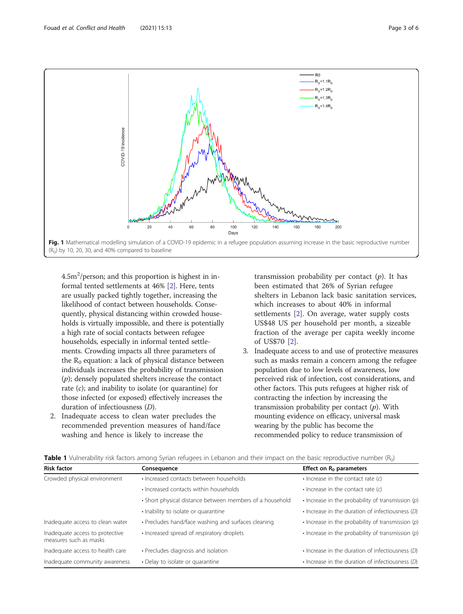<span id="page-2-0"></span>

 $(R<sub>0</sub>)$  by 10, 20, 30, and 40% compared to baseline

 $4.5$ m<sup>2</sup>/person; and this proportion is highest in informal tented settlements at 46% [\[2\]](#page-4-0). Here, tents are usually packed tightly together, increasing the likelihood of contact between households. Consequently, physical distancing within crowded households is virtually impossible, and there is potentially a high rate of social contacts between refugee households, especially in informal tented settlements. Crowding impacts all three parameters of the  $R_0$  equation: a lack of physical distance between individuals increases the probability of transmission  $(p)$ ; densely populated shelters increase the contact rate  $(c)$ ; and inability to isolate (or quarantine) for those infected (or exposed) effectively increases the duration of infectiousness (D).

2. Inadequate access to clean water precludes the recommended prevention measures of hand/face washing and hence is likely to increase the

transmission probability per contact  $(p)$ . It has been estimated that 26% of Syrian refugee shelters in Lebanon lack basic sanitation services, which increases to about 40% in informal settlements [[2](#page-4-0)]. On average, water supply costs US\$48 US per household per month, a sizeable fraction of the average per capita weekly income of US\$70 [\[2](#page-4-0)].

3. Inadequate access to and use of protective measures such as masks remain a concern among the refugee population due to low levels of awareness, low perceived risk of infection, cost considerations, and other factors. This puts refugees at higher risk of contracting the infection by increasing the transmission probability per contact  $(p)$ . With mounting evidence on efficacy, universal mask wearing by the public has become the recommended policy to reduce transmission of

| <b>Risk factor</b>                                        | Consequence                                              | Effect on $R_0$ parameters                              |
|-----------------------------------------------------------|----------------------------------------------------------|---------------------------------------------------------|
| Crowded physical environment                              | · Increased contacts between households                  | $\cdot$ Increase in the contact rate (c)                |
|                                                           | • Increased contacts within households                   | $\cdot$ Increase in the contact rate (c)                |
|                                                           | • Short physical distance between members of a household | $\cdot$ Increase in the probability of transmission (p) |
|                                                           | · Inability to isolate or quarantine                     | $\cdot$ Increase in the duration of infectiousness (D)  |
| Inadequate access to clean water                          | • Precludes hand/face washing and surfaces cleaning      | $\cdot$ Increase in the probability of transmission (p) |
| Inadequate access to protective<br>measures such as masks | • Increased spread of respiratory droplets               | $\cdot$ Increase in the probability of transmission (p) |
| Inadequate access to health care                          | • Precludes diagnosis and isolation                      | $\cdot$ Increase in the duration of infectiousness (D)  |
| Inadequate community awareness                            | • Delay to isolate or quarantine                         | $\cdot$ Increase in the duration of infectiousness (D)  |

| <b>Table 1</b> Vulnerability risk factors among Syrian refugees in Lebanon and their impact on the basic reproductive number (R <sub>0</sub> ) |  |  |
|------------------------------------------------------------------------------------------------------------------------------------------------|--|--|
|------------------------------------------------------------------------------------------------------------------------------------------------|--|--|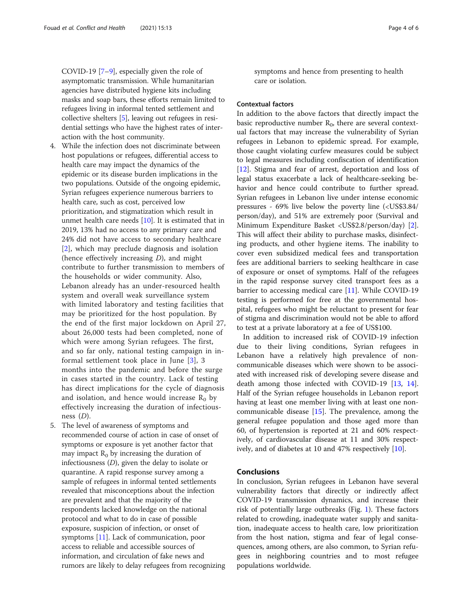COVID-19 [[7](#page-5-0)–[9](#page-5-0)], especially given the role of asymptomatic transmission. While humanitarian agencies have distributed hygiene kits including masks and soap bars, these efforts remain limited to refugees living in informal tented settlement and collective shelters [\[5](#page-4-0)], leaving out refugees in residential settings who have the highest rates of interaction with the host community.

- 4. While the infection does not discriminate between host populations or refugees, differential access to health care may impact the dynamics of the epidemic or its disease burden implications in the two populations. Outside of the ongoing epidemic, Syrian refugees experience numerous barriers to health care, such as cost, perceived low prioritization, and stigmatization which result in unmet health care needs [[10](#page-5-0)]. It is estimated that in 2019, 13% had no access to any primary care and 24% did not have access to secondary healthcare [[2](#page-4-0)], which may preclude diagnosis and isolation (hence effectively increasing D), and might contribute to further transmission to members of the households or wider community. Also, Lebanon already has an under-resourced health system and overall weak surveillance system with limited laboratory and testing facilities that may be prioritized for the host population. By the end of the first major lockdown on April 27, about 26,000 tests had been completed, none of which were among Syrian refugees. The first, and so far only, national testing campaign in informal settlement took place in June [\[3](#page-4-0)], 3 months into the pandemic and before the surge in cases started in the country. Lack of testing has direct implications for the cycle of diagnosis and isolation, and hence would increase  $R_0$  by effectively increasing the duration of infectiousness  $(D)$ .
- 5. The level of awareness of symptoms and recommended course of action in case of onset of symptoms or exposure is yet another factor that may impact  $R_0$  by increasing the duration of infectiousness  $(D)$ , given the delay to isolate or quarantine. A rapid response survey among a sample of refugees in informal tented settlements revealed that misconceptions about the infection are prevalent and that the majority of the respondents lacked knowledge on the national protocol and what to do in case of possible exposure, suspicion of infection, or onset of symptoms [[11](#page-5-0)]. Lack of communication, poor access to reliable and accessible sources of information, and circulation of fake news and rumors are likely to delay refugees from recognizing

symptoms and hence from presenting to health care or isolation.

#### Contextual factors

In addition to the above factors that directly impact the basic reproductive number  $R_0$ , there are several contextual factors that may increase the vulnerability of Syrian refugees in Lebanon to epidemic spread. For example, those caught violating curfew measures could be subject to legal measures including confiscation of identification [[12\]](#page-5-0). Stigma and fear of arrest, deportation and loss of legal status exacerbate a lack of healthcare-seeking behavior and hence could contribute to further spread. Syrian refugees in Lebanon live under intense economic pressures - 69% live below the poverty line (<US\$3.84/ person/day), and 51% are extremely poor (Survival and Minimum Expenditure Basket <US\$2.8/person/day) [\[2](#page-4-0)]. This will affect their ability to purchase masks, disinfecting products, and other hygiene items. The inability to cover even subsidized medical fees and transportation fees are additional barriers to seeking healthcare in case of exposure or onset of symptoms. Half of the refugees in the rapid response survey cited transport fees as a barrier to accessing medical care [\[11\]](#page-5-0). While COVID-19 testing is performed for free at the governmental hospital, refugees who might be reluctant to present for fear of stigma and discrimination would not be able to afford to test at a private laboratory at a fee of US\$100.

In addition to increased risk of COVID-19 infection due to their living conditions, Syrian refugees in Lebanon have a relatively high prevalence of noncommunicable diseases which were shown to be associated with increased risk of developing severe disease and death among those infected with COVID-19 [\[13](#page-5-0), [14](#page-5-0)]. Half of the Syrian refugee households in Lebanon report having at least one member living with at least one noncommunicable disease [[15](#page-5-0)]. The prevalence, among the general refugee population and those aged more than 60, of hypertension is reported at 21 and 60% respectively, of cardiovascular disease at 11 and 30% respectively, and of diabetes at 10 and 47% respectively [\[10](#page-5-0)].

#### Conclusions

In conclusion, Syrian refugees in Lebanon have several vulnerability factors that directly or indirectly affect COVID-19 transmission dynamics, and increase their risk of potentially large outbreaks (Fig. [1](#page-2-0)). These factors related to crowding, inadequate water supply and sanitation, inadequate access to health care, low prioritization from the host nation, stigma and fear of legal consequences, among others, are also common, to Syrian refugees in neighboring countries and to most refugee populations worldwide.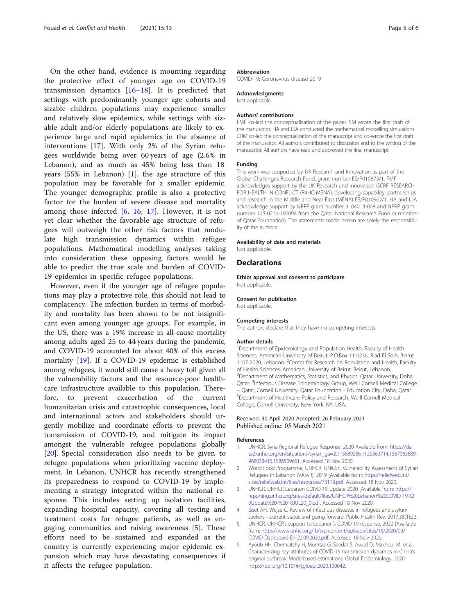<span id="page-4-0"></span>On the other hand, evidence is mounting regarding the protective effect of younger age on COVID-19 transmission dynamics  $[16–18]$  $[16–18]$  $[16–18]$  $[16–18]$ . It is predicted that settings with predominantly younger age cohorts and sizable children populations may experience smaller and relatively slow epidemics, while settings with sizable adult and/or elderly populations are likely to experience large and rapid epidemics in the absence of interventions [[17\]](#page-5-0). With only 2% of the Syrian refugees worldwide being over 60 years of age (2.6% in Lebanon), and as much as 45% being less than 18 years (55% in Lebanon)  $[1]$ , the age structure of this population may be favorable for a smaller epidemic. The younger demographic profile is also a protective factor for the burden of severe disease and mortality among those infected [6, [16](#page-5-0), [17\]](#page-5-0). However, it is not yet clear whether the favorable age structure of refugees will outweigh the other risk factors that modulate high transmission dynamics within refugee populations. Mathematical modelling analyses taking into consideration these opposing factors would be able to predict the true scale and burden of COVID-19 epidemics in specific refugee populations.

However, even if the younger age of refugee populations may play a protective role, this should not lead to complacency. The infection burden in terms of morbidity and mortality has been shown to be not insignificant even among younger age groups. For example, in the US, there was a 19% increase in all-cause mortality among adults aged 25 to 44 years during the pandemic, and COVID-19 accounted for about 40% of this excess mortality [\[19\]](#page-5-0). If a COVID-19 epidemic is established among refugees, it would still cause a heavy toll given all the vulnerability factors and the resource-poor healthcare infrastructure available to this population. Therefore, to prevent exacerbation of the current humanitarian crisis and catastrophic consequences, local and international actors and stakeholders should urgently mobilize and coordinate efforts to prevent the transmission of COVID-19, and mitigate its impact amongst the vulnerable refugee populations globally [[20\]](#page-5-0). Special consideration also needs to be given to refugee populations when prioritizing vaccine deployment. In Lebanon, UNHCR has recently strengthened its preparedness to respond to COVID-19 by implementing a strategy integrated within the national response. This includes setting up isolation facilities, expanding hospital capacity, covering all testing and treatment costs for refugee patients, as well as engaging communities and raising awareness [5]. These efforts need to be sustained and expanded as the country is currently experiencing major epidemic expansion which may have devastating consequences if it affects the refugee population.

#### Abbreviation

COVID-19: Coronavirus disease 2019

#### Acknowledgments

Not applicable.

#### Authors' contributions

FMF co-led the conceptualization of the paper. SM wrote the first draft of the manuscript. HA and LJA conducted the mathematical modelling simulations. GRM co-led the conceptualization of the manuscript and co-wrote the first draft of the manuscript. All authors contributed to discussion and to the writing of the manuscript. All authors have read and approved the final manuscript.

#### Funding

This work was supported by UK Research and Innovation as part of the Global Challenges Research Fund, grant number ES/P010873/1. FMF acknowledges support by the UK Research and Innovation GCRF RESEARCH FOR HEALTH IN CONFLICT (R4HC-MENA); developing capability, partnerships and research in the Middle and Near East (MENA) ES/P010962/1. HA and LJA acknowledge support by NPRP grant number 9–040–3-008 and NPRP grant number 12S-0216-190094 from the Qatar National Research Fund (a member of Qatar Foundation). The statements made herein are solely the responsibility of the authors.

#### Availability of data and materials

Not applicable.

#### Declarations

Ethics approval and consent to participate Not applicable.

#### Consent for publication

Not applicable.

#### Competing interests

The authors declare that they have no competing interests.

#### Author details

<sup>1</sup>Department of Epidemiology and Population Health, Faculty of Health Sciences, American University of Beirut, P.O.Box 11-0236, Riad El Solh, Beirut 1107 2020, Lebanon. <sup>2</sup>Center for Research on Population and Health, Faculty of Health Sciences, American University of Beirut, Beirut, Lebanon. <sup>3</sup> Department of Mathematics, Statistics, and Physics, Qatar University, Doha Qatar. <sup>4</sup>Infectious Disease Epidemiology Group, Weill Cornell Medical College – Qatar, Cornell University, Qatar Foundation - Education City, Doha, Qatar. <sup>5</sup> Department of Healthcare Policy and Research, Weill Cornell Medical College, Cornell University, New York, NY, USA.

#### Received: 30 April 2020 Accepted: 26 February 2021 Published online: 05 March 2021

#### References

- 1. UNHCR. Syria Regional Refugee Response. 2020 Available from: [https://da](https://data2.unhcr.org/en/situations/syria#_ga=2.115689286.1120363714.1587065689-968033415.1586509661) [ta2.unhcr.org/en/situations/syria#\\_ga=2.115689286.1120363714.1587065689-](https://data2.unhcr.org/en/situations/syria#_ga=2.115689286.1120363714.1587065689-968033415.1586509661) [968033415.1586509661.](https://data2.unhcr.org/en/situations/syria#_ga=2.115689286.1120363714.1587065689-968033415.1586509661) Accessed 18 Nov 2020.
- 2. World Food Programme, UNHCR, UNICEF. Vulnerability Assessment of Syrian Refugees in Lebanon (VASyR). 2019 [Available from: [https://reliefweb.int/](https://reliefweb.int/sites/reliefweb.int/files/resources/73118.pdf) [sites/reliefweb.int/files/resources/73118.pdf.](https://reliefweb.int/sites/reliefweb.int/files/resources/73118.pdf) Accessed 18 Nov 2020.
- 3. UNHCR. UNHCR Lebanon COIVD-19 Update 2020 [Available from: [https://](https://reporting.unhcr.org/sites/default/files/UNHCR%20Lebanon%20COVID-19%20Update%20-%2010JUL20_0.pdf) [reporting.unhcr.org/sites/default/files/UNHCR%20Lebanon%20COVID-19%2](https://reporting.unhcr.org/sites/default/files/UNHCR%20Lebanon%20COVID-19%20Update%20-%2010JUL20_0.pdf) [0Update%20-%2010JUL20\\_0.pdf.](https://reporting.unhcr.org/sites/default/files/UNHCR%20Lebanon%20COVID-19%20Update%20-%2010JUL20_0.pdf) Accessed 18 Nov 2020.
- 4. Eiset AH, Wejse C. Review of infectious diseases in refugees and asylum seekers—current status and going forward. Public Health Rev. 2017;38(1):22.
- 5. UNHCR. UNHCR's support to Lebanon's COVID-19 response. 2020 [Available from: [https://www.unhcr.org/lb/wp-content/uploads/sites/16/2020/09/](https://www.unhcr.org/lb/wp-content/uploads/sites/16/2020/09/COVID-Dashboard-En-22.09.2020.pdf) [COVID-Dashboard-En-22.09.2020.pdf.](https://www.unhcr.org/lb/wp-content/uploads/sites/16/2020/09/COVID-Dashboard-En-22.09.2020.pdf) Accessed 18 Nov 2020.
- 6. Ayoub HH, Chemaitelly H, Mumtaz G, Seedat S, Awad D, Makhoul M, et al. Characterizing key attributes of COVID-19 transmission dynamics in China's original outbreak: Modelbased estimations. Global Epidemiology. 2020. [https://doi.org/10.1016/j.gloepi.2020.100042.](https://doi.org/10.1016/j.gloepi.2020.100042)